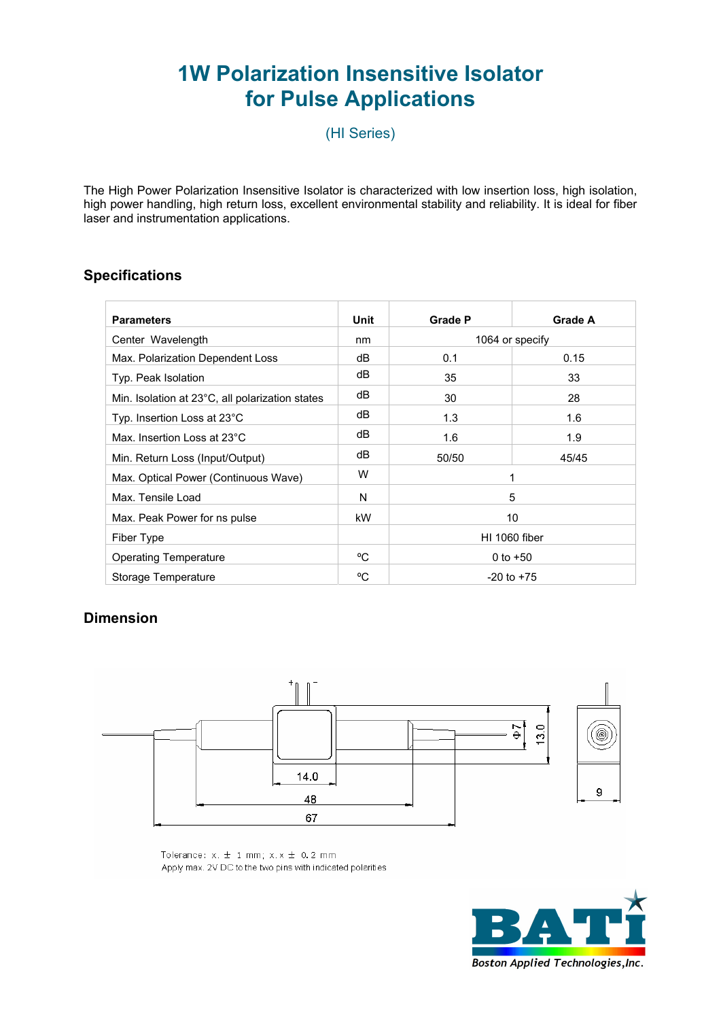# **1W Polarization Insensitive Isolator for Pulse Applications**

(HI Series)

The High Power Polarization Insensitive Isolator is characterized with low insertion loss, high isolation, high power handling, high return loss, excellent environmental stability and reliability. It is ideal for fiber laser and instrumentation applications.

### **Specifications**

| <b>Parameters</b>                               | Unit | <b>Grade P</b>  | Grade A |
|-------------------------------------------------|------|-----------------|---------|
| Center Wavelength                               | nm   | 1064 or specify |         |
| Max. Polarization Dependent Loss                | dB   | 0.1             | 0.15    |
| Typ. Peak Isolation                             | dB   | 35              | 33      |
| Min. Isolation at 23°C, all polarization states | dB   | 30              | 28      |
| Typ. Insertion Loss at 23°C                     | dB   | 1.3             | 1.6     |
| Max. Insertion Loss at 23°C                     | dB   | 1.6             | 1.9     |
| Min. Return Loss (Input/Output)                 | dB   | 50/50           | 45/45   |
| Max. Optical Power (Continuous Wave)            | W    | 1               |         |
| Max. Tensile Load                               | N    | 5               |         |
| Max. Peak Power for ns pulse                    | kW   | 10              |         |
| Fiber Type                                      |      | HI 1060 fiber   |         |
| <b>Operating Temperature</b>                    | °C   | 0 to $+50$      |         |
| Storage Temperature                             | °C   | $-20$ to $+75$  |         |

## **Dimension**



Tolerance:  $x. \pm 1$  mm;  $x.x \pm 0.2$  mm Apply max. 2V DC to the two pins with indicated polarities